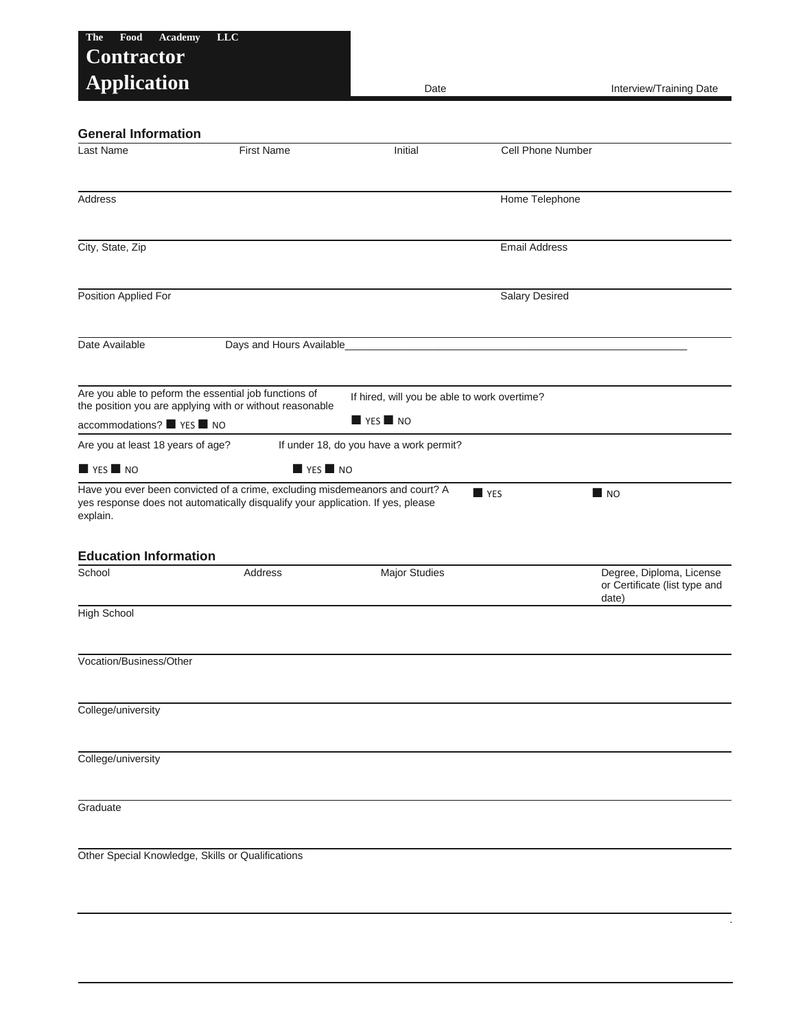| Food<br><b>Academy</b><br><b>The</b>                                                                                                                                        | <b>LLC</b>                           |                                              |                          |                                                                    |
|-----------------------------------------------------------------------------------------------------------------------------------------------------------------------------|--------------------------------------|----------------------------------------------|--------------------------|--------------------------------------------------------------------|
| <b>Contractor</b><br><b>Application</b>                                                                                                                                     |                                      | Date                                         |                          | Interview/Training Date                                            |
| <b>General Information</b>                                                                                                                                                  |                                      |                                              |                          |                                                                    |
| Last Name                                                                                                                                                                   | <b>First Name</b>                    | Initial                                      | <b>Cell Phone Number</b> |                                                                    |
|                                                                                                                                                                             |                                      |                                              |                          |                                                                    |
| Address                                                                                                                                                                     |                                      |                                              | Home Telephone           |                                                                    |
|                                                                                                                                                                             |                                      |                                              |                          |                                                                    |
| City, State, Zip                                                                                                                                                            |                                      |                                              | <b>Email Address</b>     |                                                                    |
| Position Applied For                                                                                                                                                        |                                      |                                              | <b>Salary Desired</b>    |                                                                    |
| Date Available                                                                                                                                                              | Days and Hours Available             |                                              |                          |                                                                    |
| Are you able to peform the essential job functions of<br>the position you are applying with or without reasonable                                                           |                                      | If hired, will you be able to work overtime? |                          |                                                                    |
| accommodations? YES NO                                                                                                                                                      |                                      | $\blacksquare$ YES $\blacksquare$ NO         |                          |                                                                    |
| Are you at least 18 years of age?                                                                                                                                           |                                      | If under 18, do you have a work permit?      |                          |                                                                    |
| $\blacksquare$ YES $\blacksquare$ NO                                                                                                                                        | $\blacksquare$ YES $\blacksquare$ NO |                                              |                          |                                                                    |
| Have you ever been convicted of a crime, excluding misdemeanors and court? A<br>yes response does not automatically disqualify your application. If yes, please<br>explain. |                                      |                                              | <b>YES</b>               | $\blacksquare$ NO                                                  |
| <b>Education Information</b>                                                                                                                                                |                                      |                                              |                          |                                                                    |
| School                                                                                                                                                                      | <b>Address</b>                       | <b>Major Studies</b>                         |                          | Degree, Diploma, License<br>or Certificate (list type and<br>date) |
| <b>High School</b>                                                                                                                                                          |                                      |                                              |                          |                                                                    |
| Vocation/Business/Other                                                                                                                                                     |                                      |                                              |                          |                                                                    |
| College/university                                                                                                                                                          |                                      |                                              |                          |                                                                    |
|                                                                                                                                                                             |                                      |                                              |                          |                                                                    |
| College/university                                                                                                                                                          |                                      |                                              |                          |                                                                    |
| Graduate                                                                                                                                                                    |                                      |                                              |                          |                                                                    |
| Other Special Knowledge, Skills or Qualifications                                                                                                                           |                                      |                                              |                          |                                                                    |

.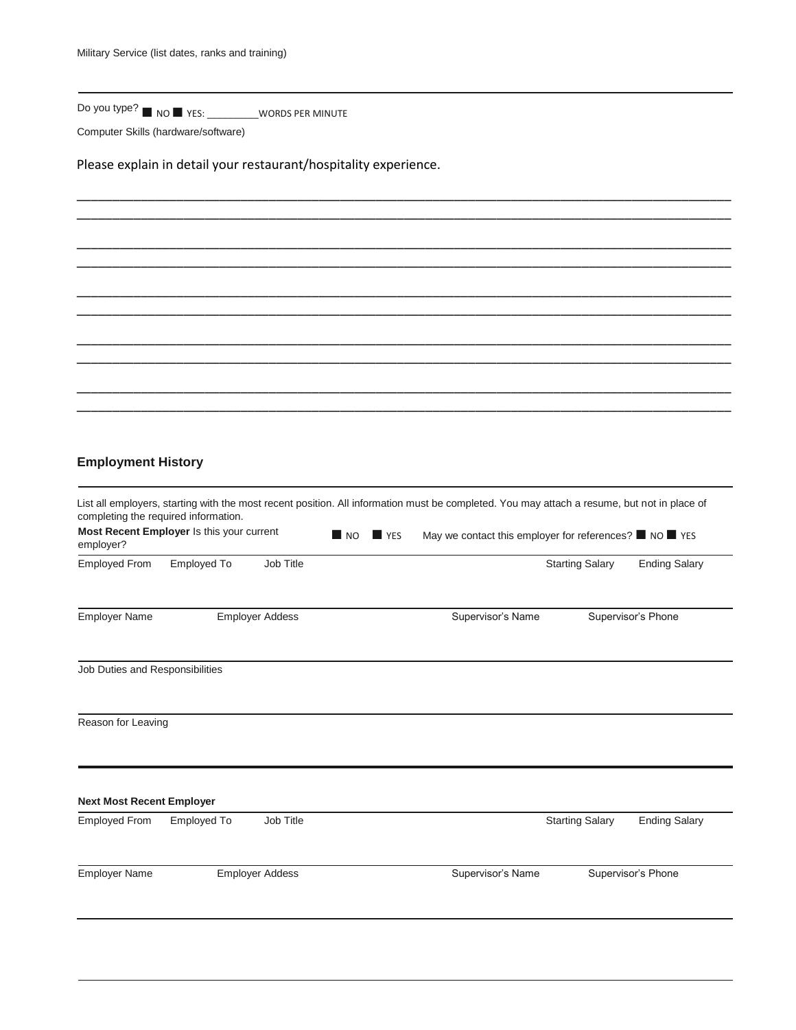Do you type? ■ NO ■ YES: \_\_\_\_\_\_\_\_\_\_WORDS PER MINUTE

Computer Skills (hardware/software)

Please explain in detail your restaurant/hospitality experience.

## **Employment History**

| completing the required information. |                                           |                        |                   |                    | List all employers, starting with the most recent position. All information must be completed. You may attach a resume, but not in place of |                        |                      |
|--------------------------------------|-------------------------------------------|------------------------|-------------------|--------------------|---------------------------------------------------------------------------------------------------------------------------------------------|------------------------|----------------------|
| employer?                            | Most Recent Employer Is this your current |                        | $\blacksquare$ NO | $\blacksquare$ YES | May we contact this employer for references? $\blacksquare$ NO $\blacksquare$ YES                                                           |                        |                      |
| Employed From                        | Employed To                               | Job Title              |                   |                    |                                                                                                                                             | <b>Starting Salary</b> | <b>Ending Salary</b> |
| <b>Employer Name</b>                 |                                           | <b>Employer Addess</b> |                   |                    | Supervisor's Name                                                                                                                           |                        | Supervisor's Phone   |
| Job Duties and Responsibilities      |                                           |                        |                   |                    |                                                                                                                                             |                        |                      |
| Reason for Leaving                   |                                           |                        |                   |                    |                                                                                                                                             |                        |                      |
| <b>Next Most Recent Employer</b>     |                                           |                        |                   |                    |                                                                                                                                             |                        |                      |
| <b>Employed From</b>                 | Employed To                               | Job Title              |                   |                    |                                                                                                                                             | <b>Starting Salary</b> | <b>Ending Salary</b> |
| <b>Employer Name</b>                 |                                           | <b>Employer Addess</b> |                   |                    | Supervisor's Name                                                                                                                           |                        | Supervisor's Phone   |

\_\_\_\_\_\_\_\_\_\_\_\_\_\_\_\_\_\_\_\_\_\_\_\_\_\_\_\_\_\_\_\_\_\_\_\_\_\_\_\_\_\_\_\_\_\_\_\_\_\_\_\_\_\_\_\_\_\_\_\_\_\_\_\_\_\_\_\_\_\_\_\_\_\_\_\_\_\_\_\_\_\_\_\_\_\_\_\_\_\_\_\_ \_\_\_\_\_\_\_\_\_\_\_\_\_\_\_\_\_\_\_\_\_\_\_\_\_\_\_\_\_\_\_\_\_\_\_\_\_\_\_\_\_\_\_\_\_\_\_\_\_\_\_\_\_\_\_\_\_\_\_\_\_\_\_\_\_\_\_\_\_\_\_\_\_\_\_\_\_\_\_\_\_\_\_\_\_\_\_\_\_\_\_\_

\_\_\_\_\_\_\_\_\_\_\_\_\_\_\_\_\_\_\_\_\_\_\_\_\_\_\_\_\_\_\_\_\_\_\_\_\_\_\_\_\_\_\_\_\_\_\_\_\_\_\_\_\_\_\_\_\_\_\_\_\_\_\_\_\_\_\_\_\_\_\_\_\_\_\_\_\_\_\_\_\_\_\_\_\_\_\_\_\_\_\_\_ \_\_\_\_\_\_\_\_\_\_\_\_\_\_\_\_\_\_\_\_\_\_\_\_\_\_\_\_\_\_\_\_\_\_\_\_\_\_\_\_\_\_\_\_\_\_\_\_\_\_\_\_\_\_\_\_\_\_\_\_\_\_\_\_\_\_\_\_\_\_\_\_\_\_\_\_\_\_\_\_\_\_\_\_\_\_\_\_\_\_\_\_

\_\_\_\_\_\_\_\_\_\_\_\_\_\_\_\_\_\_\_\_\_\_\_\_\_\_\_\_\_\_\_\_\_\_\_\_\_\_\_\_\_\_\_\_\_\_\_\_\_\_\_\_\_\_\_\_\_\_\_\_\_\_\_\_\_\_\_\_\_\_\_\_\_\_\_\_\_\_\_\_\_\_\_\_\_\_\_\_\_\_\_\_ \_\_\_\_\_\_\_\_\_\_\_\_\_\_\_\_\_\_\_\_\_\_\_\_\_\_\_\_\_\_\_\_\_\_\_\_\_\_\_\_\_\_\_\_\_\_\_\_\_\_\_\_\_\_\_\_\_\_\_\_\_\_\_\_\_\_\_\_\_\_\_\_\_\_\_\_\_\_\_\_\_\_\_\_\_\_\_\_\_\_\_\_

\_\_\_\_\_\_\_\_\_\_\_\_\_\_\_\_\_\_\_\_\_\_\_\_\_\_\_\_\_\_\_\_\_\_\_\_\_\_\_\_\_\_\_\_\_\_\_\_\_\_\_\_\_\_\_\_\_\_\_\_\_\_\_\_\_\_\_\_\_\_\_\_\_\_\_\_\_\_\_\_\_\_\_\_\_\_\_\_\_\_\_\_ \_\_\_\_\_\_\_\_\_\_\_\_\_\_\_\_\_\_\_\_\_\_\_\_\_\_\_\_\_\_\_\_\_\_\_\_\_\_\_\_\_\_\_\_\_\_\_\_\_\_\_\_\_\_\_\_\_\_\_\_\_\_\_\_\_\_\_\_\_\_\_\_\_\_\_\_\_\_\_\_\_\_\_\_\_\_\_\_\_\_\_\_

\_\_\_\_\_\_\_\_\_\_\_\_\_\_\_\_\_\_\_\_\_\_\_\_\_\_\_\_\_\_\_\_\_\_\_\_\_\_\_\_\_\_\_\_\_\_\_\_\_\_\_\_\_\_\_\_\_\_\_\_\_\_\_\_\_\_\_\_\_\_\_\_\_\_\_\_\_\_\_\_\_\_\_\_\_\_\_\_\_\_\_\_ \_\_\_\_\_\_\_\_\_\_\_\_\_\_\_\_\_\_\_\_\_\_\_\_\_\_\_\_\_\_\_\_\_\_\_\_\_\_\_\_\_\_\_\_\_\_\_\_\_\_\_\_\_\_\_\_\_\_\_\_\_\_\_\_\_\_\_\_\_\_\_\_\_\_\_\_\_\_\_\_\_\_\_\_\_\_\_\_\_\_\_\_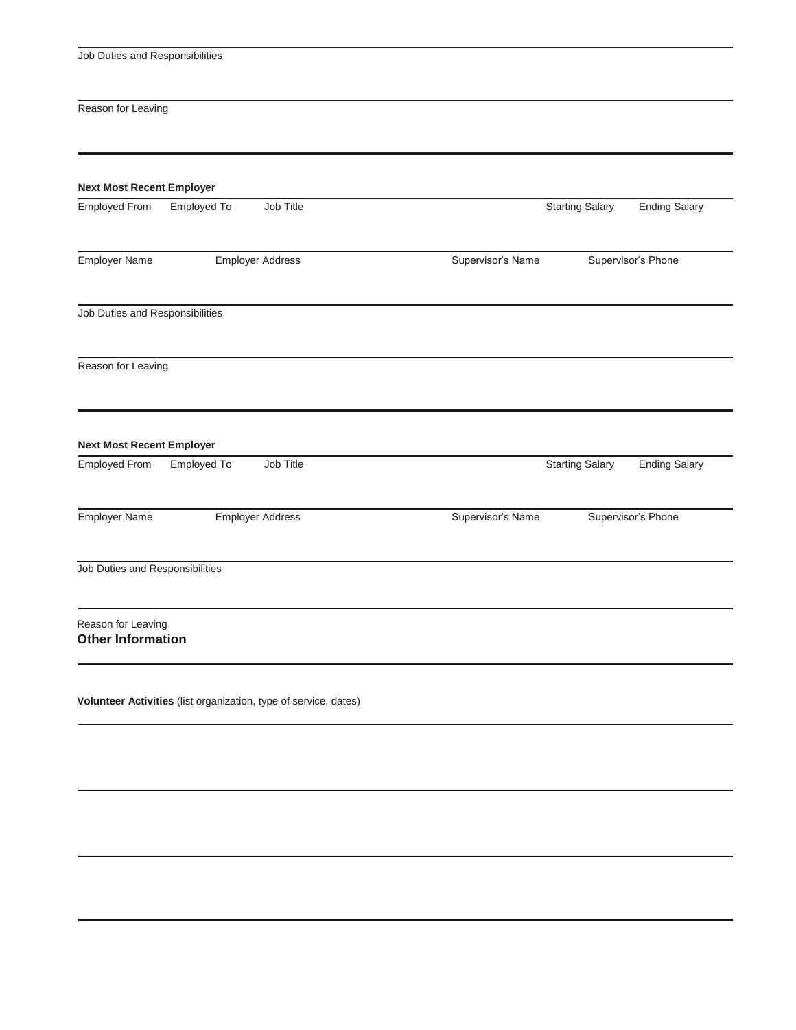Job Duties and Responsibilities

Reason for Leaving

| <b>Employed From</b>                                     | Employed To             | Job Title                                                        |                   | <b>Starting Salary</b> | <b>Ending Salary</b> |
|----------------------------------------------------------|-------------------------|------------------------------------------------------------------|-------------------|------------------------|----------------------|
| Employer Name                                            | <b>Employer Address</b> |                                                                  | Supervisor's Name | Supervisor's Phone     |                      |
| Job Duties and Responsibilities                          |                         |                                                                  |                   |                        |                      |
| Reason for Leaving                                       |                         |                                                                  |                   |                        |                      |
| <b>Next Most Recent Employer</b><br><b>Employed From</b> | Employed To             | Job Title                                                        |                   | <b>Starting Salary</b> | <b>Ending Salary</b> |
|                                                          |                         |                                                                  |                   |                        |                      |
| <b>Employer Name</b>                                     |                         | <b>Employer Address</b>                                          | Supervisor's Name |                        | Supervisor's Phone   |
| Job Duties and Responsibilities                          |                         |                                                                  |                   |                        |                      |
| Reason for Leaving<br><b>Other Information</b>           |                         |                                                                  |                   |                        |                      |
|                                                          |                         | Volunteer Activities (list organization, type of service, dates) |                   |                        |                      |